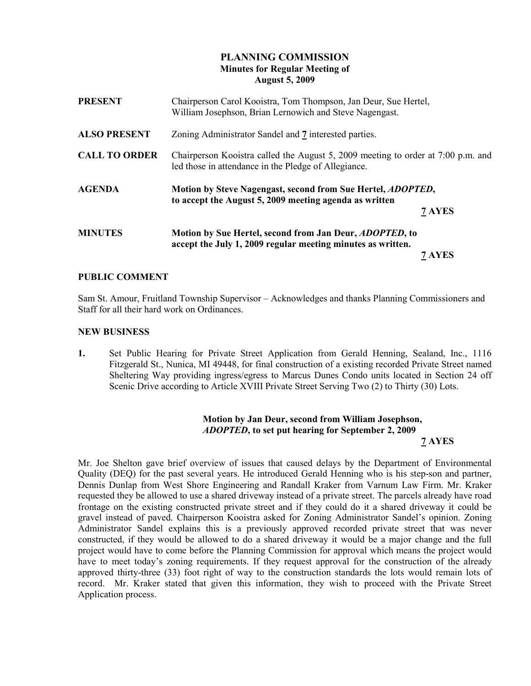# PLANNING COMMISSION Minutes for Regular Meeting of August 5, 2009

| <b>PRESENT</b>       | Chairperson Carol Kooistra, Tom Thompson, Jan Deur, Sue Hertel,<br>William Josephson, Brian Lernowich and Steve Nagengast.               |        |
|----------------------|------------------------------------------------------------------------------------------------------------------------------------------|--------|
| <b>ALSO PRESENT</b>  | Zoning Administrator Sandel and 7 interested parties.                                                                                    |        |
| <b>CALL TO ORDER</b> | Chairperson Kooistra called the August 5, 2009 meeting to order at 7:00 p.m. and<br>led those in attendance in the Pledge of Allegiance. |        |
| <b>AGENDA</b>        | Motion by Steve Nagengast, second from Sue Hertel, ADOPTED,<br>to accept the August 5, 2009 meeting agenda as written                    |        |
|                      |                                                                                                                                          | 7 AYES |
| <b>MINUTES</b>       | Motion by Sue Hertel, second from Jan Deur, <i>ADOPTED</i> , to<br>accept the July 1, 2009 regular meeting minutes as written.           |        |
|                      |                                                                                                                                          | 7 AYES |

### PUBLIC COMMENT

Sam St. Amour, Fruitland Township Supervisor – Acknowledges and thanks Planning Commissioners and Staff for all their hard work on Ordinances.

#### NEW BUSINESS

1. Set Public Hearing for Private Street Application from Gerald Henning, Sealand, Inc., 1116 Fitzgerald St., Nunica, MI 49448, for final construction of a existing recorded Private Street named Sheltering Way providing ingress/egress to Marcus Dunes Condo units located in Section 24 off Scenic Drive according to Article XVIII Private Street Serving Two  $(2)$  to Thirty  $(30)$  Lots.

## Motion by Jan Deur, second from William Josephson, ADOPTED, to set put hearing for September 2, 2009 7 AYES

Mr. Joe Shelton gave brief overview of issues that caused delays by the Department of Environmental Quality (DEQ) for the past several years. He introduced Gerald Henning who is his step-son and partner, Dennis Dunlap from West Shore Engineering and Randall Kraker from Varnum Law Firm. Mr. Kraker requested they be allowed to use a shared driveway instead of a private street. The parcels already have road frontage on the existing constructed private street and if they could do it a shared driveway it could be gravel instead of paved. Chairperson Kooistra asked for Zoning Administrator Sandel's opinion. Zoning Administrator Sandel explains this is a previously approved recorded private street that was never constructed, if they would be allowed to do a shared driveway it would be a major change and the full project would have to come before the Planning Commission for approval which means the project would have to meet today's zoning requirements. If they request approval for the construction of the already approved thirty-three (33) foot right of way to the construction standards the lots would remain lots of record. Mr. Kraker stated that given this information, they wish to proceed with the Private Street Application process.